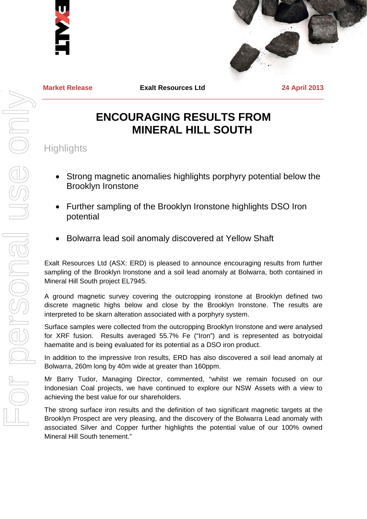



**Market Release Exalt Resources Ltd 24 April 2013**

# **ENCOURAGING RESULTS FROM MINERAL HILL SOUTH**

**Highlights** 

- Strong magnetic anomalies highlights porphyry potential below the Brooklyn Ironstone
- Further sampling of the Brooklyn Ironstone highlights DSO Iron potential
- Bolwarra lead soil anomaly discovered at Yellow Shaft

Exalt Resources Ltd (ASX: ERD) is pleased to announce encouraging results from further sampling of the Brooklyn Ironstone and a soil lead anomaly at Bolwarra, both contained in Mineral Hill South project EL7945.

A ground magnetic survey covering the outcropping ironstone at Brooklyn defined two discrete magnetic highs below and close by the Brooklyn Ironstone. The results are interpreted to be skarn alteration associated with a porphyry system.

Surface samples were collected from the outcropping Brooklyn Ironstone and were analysed for XRF fusion. Results averaged 55.7% Fe ("Iron") and is represented as botryoidal haematite and is being evaluated for its potential as a DSO iron product.

In addition to the impressive Iron results, ERD has also discovered a soil lead anomaly at Bolwarra, 260m long by 40m wide at greater than 160ppm.

Mr Barry Tudor, Managing Director, commented, "whilst we remain focused on our Indonesian Coal projects, we have continued to explore our NSW Assets with a view to achieving the best value for our shareholders.

The strong surface iron results and the definition of two significant magnetic targets at the Brooklyn Prospect are very pleasing, and the discovery of the Bolwarra Lead anomaly with associated Silver and Copper further highlights the potential value of our 100% owned Mineral Hill South tenement."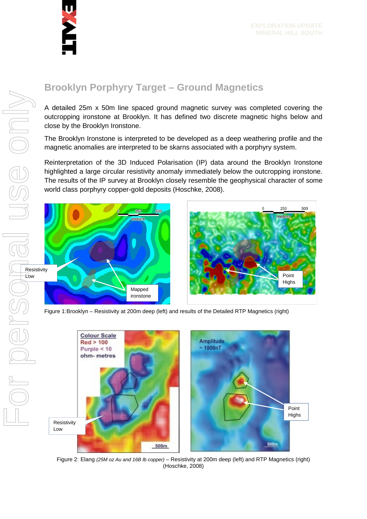

## **Brooklyn Porphyry Target – Ground Magnetics**

A detailed 25m x 50m line spaced ground magnetic survey was completed covering the outcropping ironstone at Brooklyn. It has defined two discrete magnetic highs below and close by the Brooklyn Ironstone.

The Brooklyn Ironstone is interpreted to be developed as a deep weathering profile and the magnetic anomalies are interpreted to be skarns associated with a porphyry system.

Reinterpretation of the 3D Induced Polarisation (IP) data around the Brooklyn Ironstone highlighted a large circular resistivity anomaly immediately below the outcropping ironstone. The results of the IP survey at Brooklyn closely resemble the geophysical character of some world class porphyry copper-gold deposits (Hoschke, 2008).



Figure 1:Brooklyn – Resistivity at 200m deep (left) and results of the Detailed RTP Magnetics (right)



Figure 2: Elang *(25M oz Au and 16B lb copper)* – Resistivity at 200m deep (left) and RTP Magnetics (right) (Hoschke, 2008)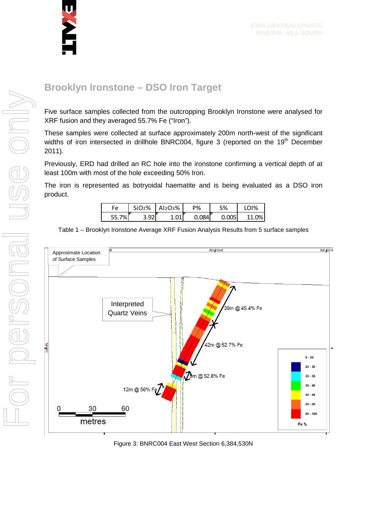

#### **Brooklyn Ironstone – DSO Iron Target**

Five surface samples collected from the outcropping Brooklyn Ironstone were analysed for XRF fusion and they averaged 55.7% Fe ("Iron").

These samples were collected at surface approximately 200m north-west of the significant widths of iron intersected in drillhole BNRC004, figure 3 (reported on the 19<sup>th</sup> December 2011).

Previously, ERD had drilled an RC hole into the ironstone confirming a vertical depth of at least 100m with most of the hole exceeding 50% Iron.

The iron is represented as botryoidal haematite and is being evaluated as a DSO iron product.

| Fe  | SiO <sub>2</sub> % | Al2O3% | P%            | S%    | 1%         |
|-----|--------------------|--------|---------------|-------|------------|
| 7%. | Q2                 |        | ገ በՋ <i>Δ</i> | 0.005 | $\Omega$ % |

Table 1 – Brooklyn Ironstone Average XRF Fusion Analysis Results from 5 surface samples



Figure 3: BNRC004 East West Section 6,384,530N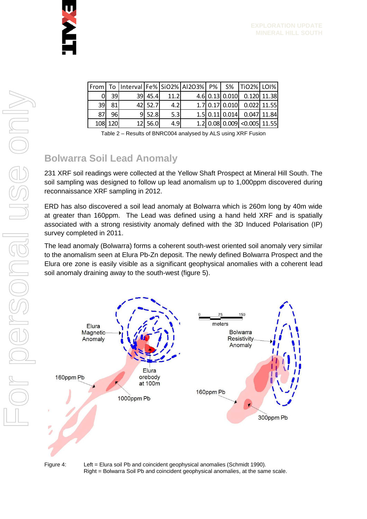|    |         |           |      | From   To  Interval   Fe%   SiO2%   AI2O3%   P%   S%   TiO2%   LOI% |  |                                    |  |
|----|---------|-----------|------|---------------------------------------------------------------------|--|------------------------------------|--|
| വ  | 39I     | $39$ 45.4 | 11.2 |                                                                     |  | 4.6 0.13 0.010 0.120 11.38         |  |
| 39 | 81      | 42 52.7   | 4.2  |                                                                     |  | 1.7 0.17 0.010 0.022 11.55         |  |
| 87 | 96      | 9 52.8    | 5.3  |                                                                     |  | 1.5 0.11 0.014 0.047 11.84         |  |
|    | 108 120 | 12 56.0   | 4.9  |                                                                     |  | $1.2$   0.08  0.009  <0.005  11.55 |  |

|  | Table 2 - Results of BNRC004 analysed by ALS using XRF Fusion |  |  |
|--|---------------------------------------------------------------|--|--|
|  |                                                               |  |  |

### **Bolwarra Soil Lead Anomaly**

231 XRF soil readings were collected at the Yellow Shaft Prospect at Mineral Hill South. The soil sampling was designed to follow up lead anomalism up to 1,000ppm discovered during reconnaissance XRF sampling in 2012.

ERD has also discovered a soil lead anomaly at Bolwarra which is 260m long by 40m wide at greater than 160ppm. The Lead was defined using a hand held XRF and is spatially associated with a strong resistivity anomaly defined with the 3D Induced Polarisation (IP) survey completed in 2011.

The lead anomaly (Bolwarra) forms a coherent south-west oriented soil anomaly very similar to the anomalism seen at Elura Pb-Zn deposit. The newly defined Bolwarra Prospect and the Elura ore zone is easily visible as a significant geophysical anomalies with a coherent lead soil anomaly draining away to the south-west (figure 5).



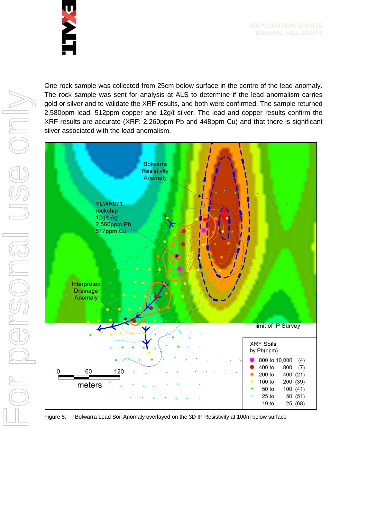

One rock sample was collected from 25cm below surface in the centre of the lead anomaly. The rock sample was sent for analysis at ALS to determine if the lead anomalism carries gold or silver and to validate the XRF results, and both were confirmed. The sample returned 2,580ppm lead, 512ppm copper and 12g/t silver. The lead and copper results confirm the XRF results are accurate (XRF: 2,260ppm Pb and 448ppm Cu) and that there is significant silver associated with the lead anomalism.



Figure 5: Bolwarra Lead Soil Anomaly overlayed on the 3D IP Resistivity at 100m below surface